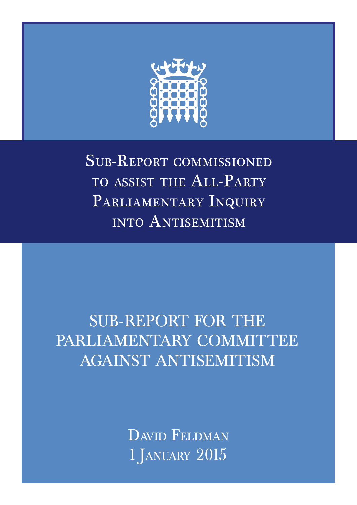

Sub-Report commissioned TO ASSIST THE ALL-PARTY PARLIAMENTARY INQUIRY into Antisemitism

# SUB‐REPORT FOR THE PARLIAMENTARY COMMITTEE AGAINST ANTISEMITISM

DAVID FELDMAN 1 January 2015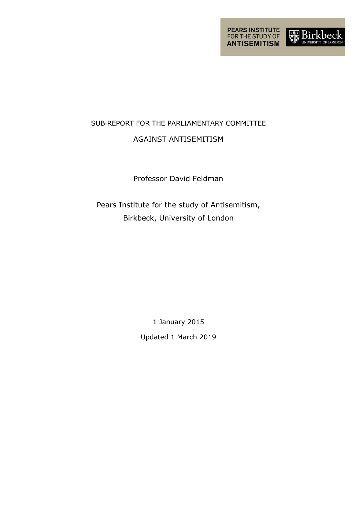

## SUB‐REPORT FOR THE PARLIAMENTARY COMMITTEE AGAINST ANTISEMITISM

### Professor David Feldman

Pears Institute for the study of Antisemitism, Birkbeck, University of London

> 1 January 2015 Updated 1 March 2019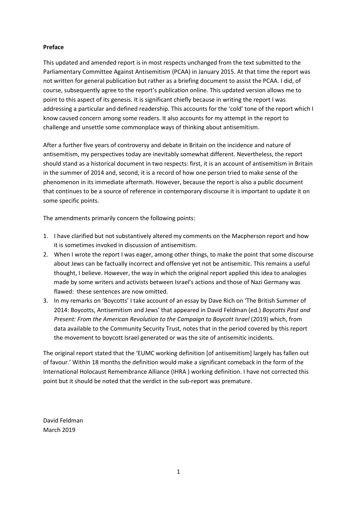#### **Preface**

This updated and amended report is in most respects unchanged from the text submitted to the Parliamentary Committee Against Antisemitism (PCAA) in January 2015. At that time the report was not written for general publication but rather as a briefing document to assist the PCAA. I did, of course, subsequently agree to the report's publication online. This updated version allows me to point to this aspect of its genesis. It is significant chiefly because in writing the report I was addressing a particular and defined readership. This accounts for the 'cold' tone of the report which I know caused concern among some readers. It also accounts for my attempt in the report to challenge and unsettle some commonplace ways of thinking about antisemitism.

After a further five years of controversy and debate in Britain on the incidence and nature of antisemitism, my perspectives today are inevitably somewhat different. Nevertheless, the report should stand as a historical document in two respects: first, it is an account of antisemitism in Britain in the summer of 2014 and, second, it is a record of how one person tried to make sense of the phenomenon in its immediate aftermath. However, because the report is also a public document that continues to be a source of reference in contemporary discourse it is important to update it on some specific points.

The amendments primarily concern the following points:

- 1. I have clarified but not substantively altered my comments on the Macpherson report and how it is sometimes invoked in discussion of antisemitism.
- 2. When I wrote the report I was eager, among other things, to make the point that some discourse about Jews can be factually incorrect and offensive yet not be antisemitic. This remains a useful thought, I believe. However, the way in which the original report applied this idea to analogies made by some writers and activists between Israel's actions and those of Nazi Germany was flawed: these sentences are now omitted.
- 3. In my remarks on 'Boycotts' I take account of an essay by Dave Rich on 'The British Summer of 2014: Boycotts, Antisemitism and Jews' that appeared in David Feldman (ed.) *Boycotts Past and Present: From the American Revolution to the Campaign to Boycott Israel (2019) which, from* data available to the Community Security Trust, notes that in the period covered by this report the movement to boycott Israel generated or was the site of antisemitic incidents.

The original report stated that the 'EUMC working definition [of antisemitism] largely has fallen out of favour.' Within 18 months the definition would make a significant comeback in the form of the International Holocaust Remembrance Alliance (IHRA ) working definition. I have not corrected this point but it should be noted that the verdict in the sub-report was premature.

David Feldman March 2019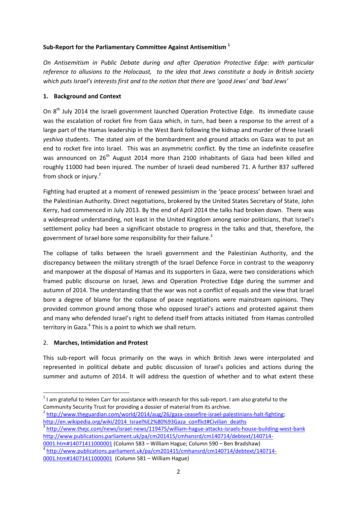#### **Sub-Report for the Parliamentary Committee Against Antisemitism <sup>1</sup>**

*On Antisemitism in Public Debate during and after Operation Protective Edge: with particular reference to allusions to the Holocaust, to the idea that Jews constitute a body in British society which puts Israel's interests first and to the notion that there are 'good Jews' and 'bad Jews'*

#### **1. Background and Context**

On 8<sup>th</sup> July 2014 the Israeli government launched Operation Protective Edge. Its immediate cause was the escalation of rocket fire from Gaza which, in turn, had been a response to the arrest of a large part of the Hamas leadership in the West Bank following the kidnap and murder of three Israeli *yeshiva* students. The stated aim of the bombardment and ground attacks on Gaza was to put an end to rocket fire into Israel. This was an asymmetric conflict. By the time an indefinite ceasefire was announced on 26<sup>th</sup> August 2014 more than 2100 inhabitants of Gaza had been killed and roughly 11000 had been injured. The number of Israeli dead numbered 71. A further 837 suffered from shock or injury.<sup>2</sup>

Fighting had erupted at a moment of renewed pessimism in the 'peace process' between Israel and the Palestinian Authority. Direct negotiations, brokered by the United States Secretary of State, John Kerry, had commenced in July 2013. By the end of April 2014 the talks had broken down. There was a widespread understanding, not least in the United Kingdom among senior politicians, that Israel's settlement policy had been a significant obstacle to progress in the talks and that, therefore, the government of Israel bore some responsibility for their failure.<sup>3</sup>

The collapse of talks between the Israeli government and the Palestinian Authority, and the discrepancy between the military strength of the Israel Defence Force in contrast to the weaponry and manpower at the disposal of Hamas and its supporters in Gaza, were two considerations which framed public discourse on Israel, Jews and Operation Protective Edge during the summer and autumn of 2014. The understanding that the war was not a conflict of equals and the view that Israel bore a degree of blame for the collapse of peace negotiations were mainstream opinions. They provided common ground among those who opposed Israel's actions and protested against them and many who defended Israel's right to defend itself from attacks initiated from Hamas controlled territory in Gaza.<sup>4</sup> This is a point to which we shall return.

#### 2. **Marches, Intimidation and Protest**

This sub-report will focus primarily on the ways in which British Jews were interpolated and represented in political debate and public discussion of Israel's policies and actions during the summer and autumn of 2014. It will address the question of whether and to what extent these

<sup>1</sup>  $1$  I am grateful to Helen Carr for assistance with research for this sub-report. I am also grateful to the Community Security Trust for providing a dossier of material from its archive.

<sup>&</sup>lt;sup>2</sup> [http://www.theguardian.com/world/2014/aug/26/gaza-ceasefire-israel-palestinians-halt-fighting;](http://www.theguardian.com/world/2014/aug/26/gaza-ceasefire-israel-palestinians-halt-fighting) [http://en.wikipedia.org/wiki/2014\\_Israel%E2%80%93Gaza\\_conflict#Civilian\\_deaths](http://en.wikipedia.org/wiki/2014_Israel%E2%80%93Gaza_conflict#Civilian_deaths)

<sup>&</sup>lt;sup>3</sup> <http://www.thejc.com/news/israel-news/119475/william-hague-attacks-israels-house-building-west-bank> [http://www.publications.parliament.uk/pa/cm201415/cmhansrd/cm140714/debtext/140714-](http://www.publications.parliament.uk/pa/cm201415/cmhansrd/cm140714/debtext/140714-0001.htm#14071411000001)

[<sup>0001.</sup>htm#14071411000001](http://www.publications.parliament.uk/pa/cm201415/cmhansrd/cm140714/debtext/140714-0001.htm#14071411000001) (Column 583 – William Hague; Column 590 – Ben Bradshaw) 4 [http://www.publications.parliament.uk/pa/cm201415/cmhansrd/cm140714/debtext/140714-](http://www.publications.parliament.uk/pa/cm201415/cmhansrd/cm140714/debtext/140714-0001.htm#14071411000001) [0001.htm#14071411000001](http://www.publications.parliament.uk/pa/cm201415/cmhansrd/cm140714/debtext/140714-0001.htm#14071411000001) (Column 581 – William Hague)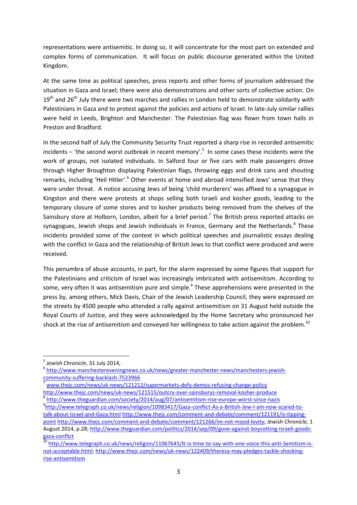representations were antisemitic. In doing so, it will concentrate for the most part on extended and complex forms of communication. It will focus on public discourse generated within the United Kingdom.

At the same time as political speeches, press reports and other forms of journalism addressed the situation in Gaza and Israel; there were also demonstrations and other sorts of collective action. On  $19<sup>th</sup>$  and 26<sup>th</sup> July there were two marches and rallies in London held to demonstrate solidarity with Palestinians in Gaza and to protest against the policies and actions of Israel. In late-July similar rallies were held in Leeds, Brighton and Manchester. The Palestinian flag was flown from town halls in Preston and Bradford.

In the second half of July the Community Security Trust reported a sharp rise in recorded antisemitic incidents – 'the second worst outbreak in recent memory'. 5 In some cases these incidents were the work of groups, not isolated individuals. In Salford four or five cars with male passengers drove through Higher Broughton displaying Palestinian flags, throwing eggs and drink cans and shouting remarks, including 'Heil Hitler'.<sup>6</sup> Other events at home and abroad intensified Jews' sense that they were under threat. A notice accusing Jews of being 'child murderers' was affixed to a synagogue in Kingston and there were protests at shops selling both Israeli and kosher goods, leading to the temporary closure of some stores and to kosher products being removed from the shelves of the Sainsbury store at Holborn, London, albeit for a brief period.<sup>7</sup> The British press reported attacks on synagogues, Jewish shops and Jewish individuals in France, Germany and the Netherlands.<sup>8</sup> These incidents provided some of the context in which political speeches and journalistic essays dealing with the conflict in Gaza and the relationship of British Jews to that conflict were produced and were received.

This penumbra of abuse accounts, in part, for the alarm expressed by some figures that support for the Palestinians and criticism of Israel was increasingly imbricated with antisemitism. According to some, very often it was antisemitism pure and simple.<sup>9</sup> These apprehensions were presented in the press by, among others, Mick Davis, Chair of the Jewish Leadership Council, they were expressed on the streets by 4500 people who attended a rally against antisemitism on 31 August held outside the Royal Courts of Justice, and they were acknowledged by the Home Secretary who pronounced her shock at the rise of antisemitism and conveyed her willingness to take action against the problem.<sup>10</sup>

 $\overline{a}$ 

<sup>7</sup> [www.thejc.com/news/uk-news/121212/supermarkets-defy-demos-refusing-change-policy](http://www.thejc.com/news/uk-news/121212/supermarkets-defy-demos-refusing-change-policy) <http://www.thejc.com/news/uk-news/121515/outcry-over-sainsburys-removal-kosher-produce> 8 <http://www.theguardian.com/society/2014/aug/07/antisemitism-rise-europe-worst-since-nazis>

<sup>5</sup> *Jewish Chronicle*, 31 July 2014,

<sup>6</sup> [http://www.manchestereveningnews.co.uk/news/greater-manchester-news/manchesters-jewish](http://www.manchestereveningnews.co.uk/news/greater-manchester-news/manchesters-jewish-community-suffering-backlash-7523966)[community-suffering-backlash-7523966](http://www.manchestereveningnews.co.uk/news/greater-manchester-news/manchesters-jewish-community-suffering-backlash-7523966)

<sup>9</sup> [http://www.telegraph.co.uk/news/religion/10983417/Gaza-conflict-As-a-British-Jew-I-am-now-scared-to](http://www.telegraph.co.uk/news/religion/10983417/Gaza-conflict-As-a-British-Jew-I-am-now-scared-to-talk-about-Israel-and-Gaza.html)[talk-about-Israel-and-Gaza.html](http://www.telegraph.co.uk/news/religion/10983417/Gaza-conflict-As-a-British-Jew-I-am-now-scared-to-talk-about-Israel-and-Gaza.html) [http://www.thejc.com/comment-and-debate/comment/121191/is-tipping](http://www.thejc.com/comment-and-debate/comment/121191/is-tipping-point)[point](http://www.thejc.com/comment-and-debate/comment/121191/is-tipping-point) [http://www.thejc.com/comment-and-debate/comment/121266/im-not-mood-levity;](http://www.thejc.com/comment-and-debate/comment/121266/im-not-mood-levity) *Jewish Chronicle,* 1 August 2014, p.28[; http://www.theguardian.com/politics/2014/sep/09/gove-against-boycotting-israeli-goods](http://www.theguardian.com/politics/2014/sep/09/gove-against-boycotting-israeli-goods-gaza-conflict)[gaza-conflict](http://www.theguardian.com/politics/2014/sep/09/gove-against-boycotting-israeli-goods-gaza-conflict)

<sup>&</sup>lt;sup>10</sup> [http://www.telegraph.co.uk/news/religion/11067645/It-is-time-to-say-with-one-voice-this-anti-Semitism-is](http://www.telegraph.co.uk/news/religion/11067645/It-is-time-to-say-with-one-voice-this-anti-Semitism-is-not-acceptable.html)[not-acceptable.html;](http://www.telegraph.co.uk/news/religion/11067645/It-is-time-to-say-with-one-voice-this-anti-Semitism-is-not-acceptable.html) [http://www.thejc.com/news/uk-news/122409/theresa-may-pledges-tackle-shocking](http://www.thejc.com/news/uk-news/122409/theresa-may-pledges-tackle-shocking-rise-antisemitism)[rise-antisemitism](http://www.thejc.com/news/uk-news/122409/theresa-may-pledges-tackle-shocking-rise-antisemitism)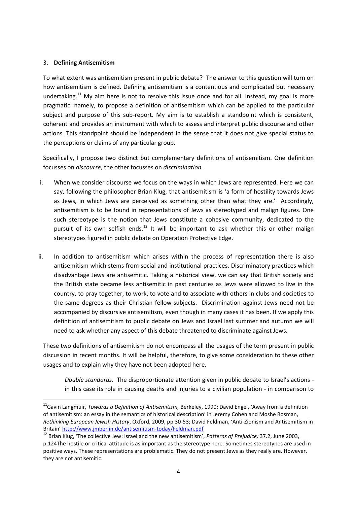#### 3. **Defining Antisemitism**

**.** 

To what extent was antisemitism present in public debate? The answer to this question will turn on how antisemitism is defined. Defining antisemitism is a contentious and complicated but necessary undertaking.<sup>11</sup> My aim here is not to resolve this issue once and for all. Instead, my goal is more pragmatic: namely, to propose a definition of antisemitism which can be applied to the particular subject and purpose of this sub-report. My aim is to establish a standpoint which is consistent, coherent and provides an instrument with which to assess and interpret public discourse and other actions. This standpoint should be independent in the sense that it does not give special status to the perceptions or claims of any particular group.

Specifically, I propose two distinct but complementary definitions of antisemitism. One definition focusses on *discourse,* the other focusses on *discrimination.* 

- i. When we consider discourse we focus on the ways in which Jews are represented. Here we can say, following the philosopher Brian Klug, that antisemitism is 'a form of hostility towards Jews as Jews, in which Jews are perceived as something other than what they are.' Accordingly, antisemitism is to be found in representations of Jews as stereotyped and malign figures. One such stereotype is the notion that Jews constitute a cohesive community, dedicated to the pursuit of its own selfish ends.<sup>12</sup> It will be important to ask whether this or other malign stereotypes figured in public debate on Operation Protective Edge.
- ii. In addition to antisemitism which arises within the process of representation there is also antisemitism which stems from social and institutional practices. Discriminatory practices which disadvantage Jews are antisemitic. Taking a historical view, we can say that British society and the British state became less antisemitic in past centuries as Jews were allowed to live in the country, to pray together, to work, to vote and to associate with others in clubs and societies to the same degrees as their Christian fellow-subjects. Discrimination against Jews need not be accompanied by discursive antisemitism, even though in many cases it has been. If we apply this definition of antisemitism to public debate on Jews and Israel last summer and autumn we will need to ask whether any aspect of this debate threatened to discriminate against Jews.

These two definitions of antisemitism do not encompass all the usages of the term present in public discussion in recent months. It will be helpful, therefore, to give some consideration to these other usages and to explain why they have not been adopted here.

*Double standards*. The disproportionate attention given in public debate to Israel's actions in this case its role in causing deaths and injuries to a civilian population - in comparison to

<sup>11</sup>Gavin Langmuir, *Towards a Definition of Antisemitism,* Berkeley, 1990; David Engel, 'Away from a definition of antisemitism: an essay in the semantics of historical description' in Jeremy Cohen and Moshe Rosman, *Rethinking European Jewish History*, Oxford, 2009, pp.30-53; David Feldman, 'Anti-Zionism and Antisemitism in Britain' <http://www.jmberlin.de/antisemitism-today/Feldman.pdf>

<sup>12</sup> Brian Klug, 'The collective Jew: Israel and the new antisemitism', *Patterns of Prejudice,* 37.2, June 2003, p.124The hostile or critical attitude is as important as the stereotype here. Sometimes stereotypes are used in positive ways. These representations are problematic. They do not present Jews as they really are. However, they are not antisemitic.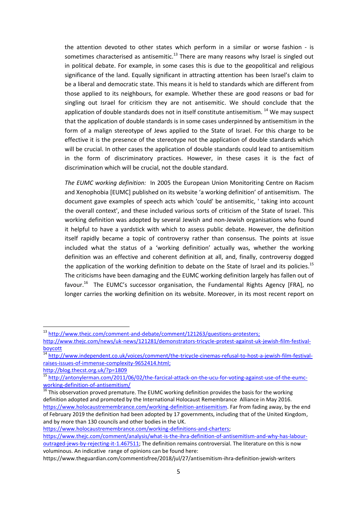the attention devoted to other states which perform in a similar or worse fashion - is sometimes characterised as antisemitic.<sup>13</sup> There are many reasons why Israel is singled out in political debate. For example, in some cases this is due to the geopolitical and religious significance of the land. Equally significant in attracting attention has been Israel's claim to be a liberal and democratic state. This means it is held to standards which are different from those applied to its neighbours, for example. Whether these are good reasons or bad for singling out Israel for criticism they are not antisemitic. We should conclude that the application of double standards does not in itself constitute antisemitism.<sup>14</sup> We may suspect that the application of double standards is in some cases underpinned by antisemitism in the form of a malign stereotype of Jews applied to the State of Israel. For this charge to be effective it is the presence of the stereotype not the application of double standards which will be crucial. In other cases the application of double standards could lead to antisemitism in the form of discriminatory practices. However, in these cases it is the fact of discrimination which will be crucial, not the double standard.

*The EUMC working definition:* In 2005 the European Union Monitoriting Centre on Racism and Xenophobia [EUMC] published on its website 'a working definition' of antisemitism. The document gave examples of speech acts which 'could' be antisemitic, ' taking into account the overall context', and these included various sorts of criticism of the State of Israel. This working definition was adopted by several Jewish and non-Jewish organisations who found it helpful to have a yardstick with which to assess public debate. However, the definition itself rapidly became a topic of controversy rather than consensus. The points at issue included what the status of a 'working definition' actually was, whether the working definition was an effective and coherent definition at all, and, finally, controversy dogged the application of the working definition to debate on the State of Israel and its policies.<sup>15</sup> The criticisms have been damaging and the EUMC working definition largely has fallen out of favour.<sup>16</sup> The EUMC's successor organisation, the Fundamental Rights Agency [FRA], no longer carries the working definition on its website. Moreover, in its most recent report on

1

[https://www.holocaustremembrance.com/working-definitions-and-charters;](https://www.holocaustremembrance.com/working-definitions-and-charters) 

<sup>&</sup>lt;sup>13</sup> [http://www.thejc.com/comment-and-debate/comment/121263/questions-protesters;](http://www.thejc.com/comment-and-debate/comment/121263/questions-protesters)

http://www.thejc.com/news/uk-news/121281/demonstrators-tricycle-protest-against-uk-jewish-film-festivalboycott

<sup>14</sup> [http://www.independent.co.uk/voices/comment/the-tricycle-cinemas-refusal-to-host-a-jewish-film-festival](http://www.independent.co.uk/voices/comment/the-tricycle-cinemas-refusal-to-host-a-jewish-film-festival-raises-issues-of-immense-complexity-9652414.html)[raises-issues-of-immense-complexity-9652414.html;](http://www.independent.co.uk/voices/comment/the-tricycle-cinemas-refusal-to-host-a-jewish-film-festival-raises-issues-of-immense-complexity-9652414.html)

http://blog.thecst.org.uk/?p=1809

<sup>&</sup>lt;sup>15</sup> [http://antonylerman.com/2011/06/02/the-farcical-attack-on-the-ucu-for-voting-against-use-of-the-eumc](http://antonylerman.com/2011/06/02/the-farcical-attack-on-the-ucu-for-voting-against-use-of-the-eumc-working-definition-of-antisemitism/)[working-definition-of-antisemitism/](http://antonylerman.com/2011/06/02/the-farcical-attack-on-the-ucu-for-voting-against-use-of-the-eumc-working-definition-of-antisemitism/)

 $\overline{^{16}}$  This observation proved premature. The EUMC working definition provides the basis for the working definition adopted and promoted by the International Holocaust Remembrance Alliance in May 2016. [https://www.holocaustremembrance.com/working-definition-antisemitism.](https://www.holocaustremembrance.com/working-definition-antisemitism) Far from fading away, by the end of February 2019 the definition had been adopted by 17 governments, including that of the United Kingdom, and by more than 130 councils and other bodies in the UK.

[https://www.thejc.com/comment/analysis/what-is-the-ihra-definition-of-antisemitism-and-why-has-labour](https://www.thejc.com/comment/analysis/what-is-the-ihra-definition-of-antisemitism-and-why-has-labour-outraged-jews-by-rejecting-it-1.467511)[outraged-jews-by-rejecting-it-1.467511;](https://www.thejc.com/comment/analysis/what-is-the-ihra-definition-of-antisemitism-and-why-has-labour-outraged-jews-by-rejecting-it-1.467511) The definition remains controversial. The literature on this is now voluminous. An indicative range of opinions can be found here:

https://www.theguardian.com/commentisfree/2018/jul/27/antisemitism-ihra-definition-jewish-writers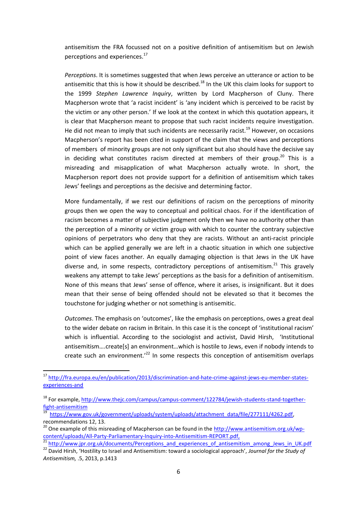antisemitism the FRA focussed not on a positive definition of antisemitism but on Jewish perceptions and experiences.<sup>17</sup>

*Perceptions*. It is sometimes suggested that when Jews perceive an utterance or action to be antisemitic that this is how it should be described.<sup>18</sup> In the UK this claim looks for support to the 1999 *Stephen Lawrence Inquiry*, written by Lord Macpherson of Cluny. There Macpherson wrote that 'a racist incident' is 'any incident which is perceived to be racist by the victim or any other person.' If we look at the context in which this quotation appears, it is clear that Macpherson meant to propose that such racist incidents require investigation. He did not mean to imply that such incidents are necessarily racist.<sup>19</sup> However, on occasions Macpherson's report has been cited in support of the claim that the views and perceptions of members of minority groups are not only significant but also should have the decisive say in deciding what constitutes racism directed at members of their group.<sup>20</sup> This is a misreading and misapplication of what Macpherson actually wrote. In short, the Macpherson report does not provide support for a definition of antisemitism which takes Jews' feelings and perceptions as the decisive and determining factor.

More fundamentally, if we rest our definitions of racism on the perceptions of minority groups then we open the way to conceptual and political chaos. For if the identification of racism becomes a matter of subjective judgment only then we have no authority other than the perception of a minority or victim group with which to counter the contrary subjective opinions of perpetrators who deny that they are racists. Without an anti-racist principle which can be applied generally we are left in a chaotic situation in which one subjective point of view faces another. An equally damaging objection is that Jews in the UK have diverse and, in some respects, contradictory perceptions of antisemitism. $^{21}$  This gravely weakens any attempt to take Jews' perceptions as the basis for a definition of antisemitism. None of this means that Jews' sense of offence, where it arises, is insignificant. But it does mean that their sense of being offended should not be elevated so that it becomes the touchstone for judging whether or not something is antisemitic.

*Outcomes*. The emphasis on 'outcomes', like the emphasis on perceptions, owes a great deal to the wider debate on racism in Britain. In this case it is the concept of 'institutional racism' which is influential. According to the sociologist and activist, David Hirsh, 'Institutional antisemitism….create[s] an environment…which is hostile to Jews, even if nobody intends to create such an environment.<sup> $22$ </sup> In some respects this conception of antisemitism overlaps

 $\overline{a}$ 

<sup>17</sup> [http://fra.europa.eu/en/publication/2013/discrimination-and-hate-crime-against-jews-eu-member-states](http://fra.europa.eu/en/publication/2013/discrimination-and-hate-crime-against-jews-eu-member-states-experiences-and)[experiences-and](http://fra.europa.eu/en/publication/2013/discrimination-and-hate-crime-against-jews-eu-member-states-experiences-and)

<sup>&</sup>lt;sup>18</sup> For example, [http://www.thejc.com/campus/campus-comment/122784/jewish-students-stand-together](http://www.thejc.com/campus/campus-comment/122784/jewish-students-stand-together-fight-antisemitism)[fight-antisemitism](http://www.thejc.com/campus/campus-comment/122784/jewish-students-stand-together-fight-antisemitism)

<sup>19</sup> [https://www.gov.uk/government/uploads/system/uploads/attachment\\_data/file/277111/4262.pdf,](https://www.gov.uk/government/uploads/system/uploads/attachment_data/file/277111/4262.pdf) recommendations 12, 13.

<sup>&</sup>lt;sup>20</sup> One example of this misreading of Macpherson can be found in th[e http://www.antisemitism.org.uk/wp](http://www.antisemitism.org.uk/wp-content/uploads/All-Party-Parliamentary-Inquiry-into-Antisemitism-REPORT.pdf)[content/uploads/All-Party-Parliamentary-Inquiry-into-Antisemitism-REPORT.pdf,](http://www.antisemitism.org.uk/wp-content/uploads/All-Party-Parliamentary-Inquiry-into-Antisemitism-REPORT.pdf) 

<sup>&</sup>lt;sup>21</sup> [http://www.jpr.org.uk/documents/Perceptions\\_and\\_experiences\\_of\\_antisemitism\\_among\\_Jews\\_in\\_UK.pdf](http://www.jpr.org.uk/documents/Perceptions_and_experiences_of_antisemitism_among_Jews_in_UK.pdf)

<sup>22</sup> David Hirsh, 'Hostility to Israel and Antisemitism: toward a sociological approach', *Journal for the Study of Antisemitism,* .5, 2013, p.1413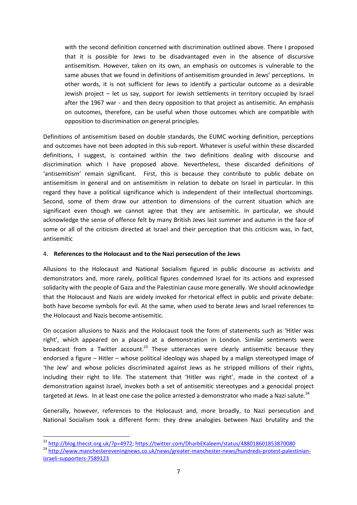with the second definition concerned with discrimination outlined above. There I proposed that it is possible for Jews to be disadvantaged even in the absence of discursive antisemitism. However, taken on its own, an emphasis on outcomes is vulnerable to the same abuses that we found in definitions of antisemitism grounded in Jews' perceptions. In other words, it is not sufficient for Jews to identify a particular outcome as a desirable Jewish project – let us say, support for Jewish settlements in territory occupied by Israel after the 1967 war - and then decry opposition to that project as antisemitic. An emphasis on outcomes, therefore, can be useful when those outcomes which are compatible with opposition to discrimination on general principles.

Definitions of antisemitism based on double standards, the EUMC working definition, perceptions and outcomes have not been adopted in this sub-report. Whatever is useful within these discarded definitions, I suggest, is contained within the two definitions dealing with discourse and discrimination which I have proposed above. Nevertheless, these discarded definitions of 'antisemitism' remain significant. First, this is because they contribute to public debate on antisemitism in general and on antisemitism in relation to debate on Israel in particular. In this regard they have a political significance which is independent of their intellectual shortcomings. Second, some of them draw our attention to dimensions of the current situation which are significant even though we cannot agree that they are antisemitic. In particular, we should acknowledge the sense of offence felt by many British Jews last summer and autumn in the face of some or all of the criticism directed at Israel and their perception that this criticism was, in fact, antisemitic

#### 4. **References to the Holocaust and to the Nazi persecution of the Jews**

Allusions to the Holocaust and National Socialism figured in public discourse as activists and demonstrators and, more rarely, political figures condemned Israel for its actions and expressed solidarity with the people of Gaza and the Palestinian cause more generally. We should acknowledge that the Holocaust and Nazis are widely invoked for rhetorical effect in public and private debate: both have become symbols for evil. At the same, when used to berate Jews and Israel references to the Holocaust and Nazis become antisemitic.

On occasion allusions to Nazis and the Holocaust took the form of statements such as 'Hitler was right', which appeared on a placard at a demonstration in London. Similar sentiments were broadcast from a Twitter account.<sup>23</sup> These utterances were clearly antisemitic because they endorsed a figure – Hitler – whose political ideology was shaped by a malign stereotyped image of 'the Jew' and whose policies discriminated against Jews as he stripped millions of their rights, including their right to life. The statement that 'Hitler was right', made in the context of a demonstration against Israel, invokes both a set of antisemitic stereotypes and a genocidal project targeted at Jews. In at least one case the police arrested a demonstrator who made a Nazi salute.<sup>24</sup>

Generally, however, references to the Holocaust and, more broadly, to Nazi persecution and National Socialism took a different form: they drew analogies between Nazi brutality and the

**<sup>.</sup>** <sup>23</sup> [http://blog.thecst.org.uk/?p=4972;](http://blog.thecst.org.uk/?p=4972)<https://twitter.com/DharbEKaleem/status/488018601853870080> <sup>24</sup> [http://www.manchestereveningnews.co.uk/news/greater-manchester-news/hundreds-protest-palestinian](http://www.manchestereveningnews.co.uk/news/greater-manchester-news/hundreds-protest-palestinian-israeli-supporters-7589123)[israeli-supporters-7589123](http://www.manchestereveningnews.co.uk/news/greater-manchester-news/hundreds-protest-palestinian-israeli-supporters-7589123)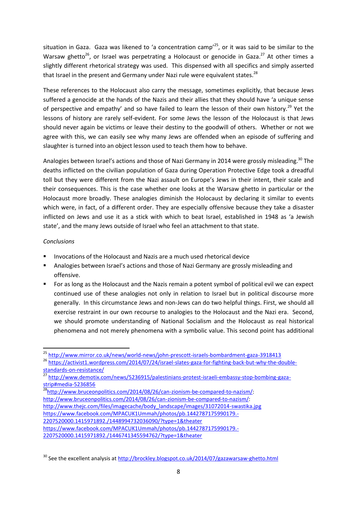situation in Gaza. Gaza was likened to 'a concentration camp'<sup>25</sup>, or it was said to be similar to the Warsaw ghetto<sup>26</sup>, or Israel was perpetrating a Holocaust or genocide in Gaza.<sup>27</sup> At other times a slightly different rhetorical strategy was used. This dispensed with all specifics and simply asserted that Israel in the present and Germany under Nazi rule were equivalent states.<sup>28</sup>

These references to the Holocaust also carry the message, sometimes explicitly, that because Jews suffered a genocide at the hands of the Nazis and their allies that they should have 'a unique sense of perspective and empathy' and so have failed to learn the lesson of their own history.<sup>29</sup> Yet the lessons of history are rarely self-evident. For some Jews the lesson of the Holocaust is that Jews should never again be victims or leave their destiny to the goodwill of others. Whether or not we agree with this, we can easily see why many Jews are offended when an episode of suffering and slaughter is turned into an object lesson used to teach them how to behave.

Analogies between Israel's actions and those of Nazi Germany in 2014 were grossly misleading.<sup>30</sup> The deaths inflicted on the civilian population of Gaza during Operation Protective Edge took a dreadful toll but they were different from the Nazi assault on Europe's Jews in their intent, their scale and their consequences. This is the case whether one looks at the Warsaw ghetto in particular or the Holocaust more broadly. These analogies diminish the Holocaust by declaring it similar to events which were, in fact, of a different order. They are especially offensive because they take a disaster inflicted on Jews and use it as a stick with which to beat Israel, established in 1948 as 'a Jewish state', and the many Jews outside of Israel who feel an attachment to that state.

#### *Conclusions*

- Invocations of the Holocaust and Nazis are a much used rhetorical device
- Analogies between Israel's actions and those of Nazi Germany are grossly misleading and offensive.
- For as long as the Holocaust and the Nazis remain a potent symbol of political evil we can expect continued use of these analogies not only in relation to Israel but in political discourse more generally. In this circumstance Jews and non-Jews can do two helpful things. First, we should all exercise restraint in our own recourse to analogies to the Holocaust and the Nazi era. Second, we should promote understanding of National Socialism and the Holocaust as real historical phenomena and not merely phenomena with a symbolic value. This second point has additional

<sup>28</sup>[http://www.bruceonpolitics.com/2014/08/26/can-zionism-be-compared-to-nazism/:](http://www.bruceonpolitics.com/2014/08/26/can-zionism-be-compared-to-nazism/) [http://www.bruceonpolitics.com/2014/08/26/can-zionism-be-compared-to-nazism/:](http://www.bruceonpolitics.com/2014/08/26/can-zionism-be-compared-to-nazism/) [http://www.thejc.com/files/imagecache/body\\_landscape/images/31072014-swastika.jpg](http://www.thejc.com/files/imagecache/body_landscape/images/31072014-swastika.jpg) [https://www.facebook.com/MPACUK1Ummah/photos/pb.1442787175990179.-](https://www.facebook.com/MPACUK1Ummah/photos/pb.1442787175990179.-2207520000.1415971892./1448994732036090/?type=1&theater) [2207520000.1415971892./1448994732036090/?type=1&theater](https://www.facebook.com/MPACUK1Ummah/photos/pb.1442787175990179.-2207520000.1415971892./1448994732036090/?type=1&theater) [https://www.facebook.com/MPACUK1Ummah/photos/pb.1442787175990179.-](https://www.facebook.com/MPACUK1Ummah/photos/pb.1442787175990179.-2207520000.1415971892./1446741345594762/?type=1&theater) [2207520000.1415971892./1446741345594762/?type=1&theater](https://www.facebook.com/MPACUK1Ummah/photos/pb.1442787175990179.-2207520000.1415971892./1446741345594762/?type=1&theater) 

**<sup>.</sup>** <sup>25</sup> <http://www.mirror.co.uk/news/world-news/john-prescott-israels-bombardment-gaza-3918413>

<sup>&</sup>lt;sup>26</sup> [https://activist1.wordpress.com/2014/07/24/israel-slates-gaza-for-fighting-back-but-why-the-double](https://activist1.wordpress.com/2014/07/24/israel-slates-gaza-for-fighting-back-but-why-the-double-standards-on-resistance/)[standards-on-resistance/](https://activist1.wordpress.com/2014/07/24/israel-slates-gaza-for-fighting-back-but-why-the-double-standards-on-resistance/)

<sup>27</sup> [http://www.demotix.com/news/5236915/palestinians-protest-israeli-embassy-stop-bombing-gaza](http://www.demotix.com/news/5236915/palestinians-protest-israeli-embassy-stop-bombing-gaza-strip#media-5236856)[strip#media-5236856](http://www.demotix.com/news/5236915/palestinians-protest-israeli-embassy-stop-bombing-gaza-strip#media-5236856)

<sup>&</sup>lt;sup>30</sup> See the excellent analysis at<http://brockley.blogspot.co.uk/2014/07/gazawarsaw-ghetto.html>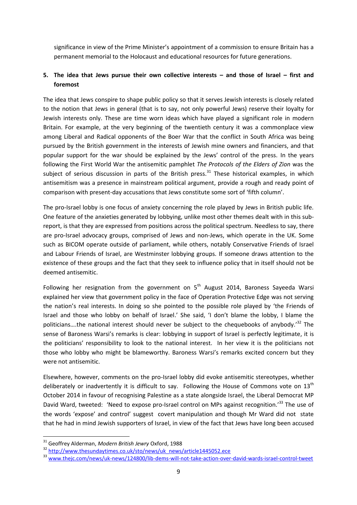significance in view of the Prime Minister's appointment of a commission to ensure Britain has a permanent memorial to the Holocaust and educational resources for future generations.

#### **5. The idea that Jews pursue their own collective interests – and those of Israel – first and foremost**

The idea that Jews conspire to shape public policy so that it serves Jewish interests is closely related to the notion that Jews in general (that is to say, not only powerful Jews) reserve their loyalty for Jewish interests only. These are time worn ideas which have played a significant role in modern Britain. For example, at the very beginning of the twentieth century it was a commonplace view among Liberal and Radical opponents of the Boer War that the conflict in South Africa was being pursued by the British government in the interests of Jewish mine owners and financiers, and that popular support for the war should be explained by the Jews' control of the press. In the years following the First World War the antisemitic pamphlet *The Protocols of the Elders of Zion* was the subject of serious discussion in parts of the British press.<sup>31</sup> These historical examples, in which antisemitism was a presence in mainstream political argument, provide a rough and ready point of comparison with present-day accusations that Jews constitute some sort of 'fifth column'.

The pro-Israel lobby is one focus of anxiety concerning the role played by Jews in British public life. One feature of the anxieties generated by lobbying, unlike most other themes dealt with in this subreport, is that they are expressed from positions across the political spectrum. Needless to say, there are pro-Israel advocacy groups, comprised of Jews and non-Jews, which operate in the UK. Some such as BICOM operate outside of parliament, while others, notably Conservative Friends of Israel and Labour Friends of Israel, are Westminster lobbying groups. If someone draws attention to the existence of these groups and the fact that they seek to influence policy that in itself should not be deemed antisemitic.

Following her resignation from the government on  $5<sup>th</sup>$  August 2014, Baroness Sayeeda Warsi explained her view that government policy in the face of Operation Protective Edge was not serving the nation's real interests. In doing so she pointed to the possible role played by 'the Friends of Israel and those who lobby on behalf of Israel.' She said, 'I don't blame the lobby, I blame the politicians....the national interest should never be subject to the chequebooks of anybody.<sup>32</sup> The sense of Baroness Warsi's remarks is clear: lobbying in support of Israel is perfectly legitimate, it is the politicians' responsibility to look to the national interest. In her view it is the politicians not those who lobby who might be blameworthy. Baroness Warsi's remarks excited concern but they were not antisemitic.

Elsewhere, however, comments on the pro-Israel lobby did evoke antisemitic stereotypes, whether deliberately or inadvertently it is difficult to say. Following the House of Commons vote on  $13<sup>th</sup>$ October 2014 in favour of recognising Palestine as a state alongside Israel, the Liberal Democrat MP David Ward, tweeted: 'Need to expose pro-Israel control on MPs against recognition.'<sup>33</sup> The use of the words 'expose' and control' suggest covert manipulation and though Mr Ward did not state that he had in mind Jewish supporters of Israel, in view of the fact that Jews have long been accused

<sup>31</sup> Geoffrey Alderman, *Modern British Jewry* Oxford, 1988

<sup>32</sup> [http://www.thesundaytimes.co.uk/sto/news/uk\\_news/article1445052.ece](http://www.thesundaytimes.co.uk/sto/news/uk_news/article1445052.ece)

<sup>33</sup> [www.thejc.com/news/uk-news/124800/lib-dems-will-not-take-action-over-david-wards-israel-control-tweet](http://www.thejc.com/news/uk-news/124800/lib-dems-will-not-take-action-over-david-wards-israel-control-tweet)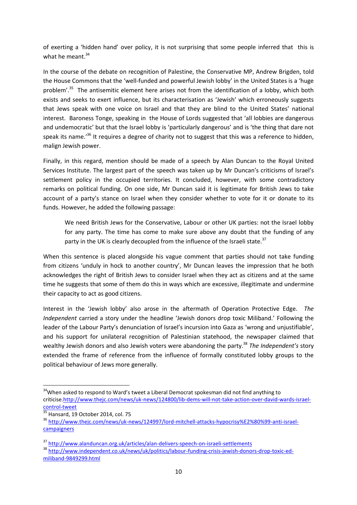of exerting a 'hidden hand' over policy, it is not surprising that some people inferred that this is what he meant.<sup>34</sup>

In the course of the debate on recognition of Palestine, the Conservative MP, Andrew Brigden, told the House Commons that the 'well-funded and powerful Jewish lobby' in the United States is a 'huge problem'.<sup>35</sup> The antisemitic element here arises not from the identification of a lobby, which both exists and seeks to exert influence, but its characterisation as 'Jewish' which erroneously suggests that Jews speak with one voice on Israel and that they are blind to the United States' national interest. Baroness Tonge, speaking in the House of Lords suggested that 'all lobbies are dangerous and undemocratic' but that the Israel lobby is 'particularly dangerous' and is 'the thing that dare not speak its name.<sup>36</sup> It requires a degree of charity not to suggest that this was a reference to hidden, malign Jewish power.

Finally, in this regard, mention should be made of a speech by Alan Duncan to the Royal United Services Institute. The largest part of the speech was taken up by Mr Duncan's criticisms of Israel's settlement policy in the occupied territories. It concluded, however, with some contradictory remarks on political funding. On one side, Mr Duncan said it is legitimate for British Jews to take account of a party's stance on Israel when they consider whether to vote for it or donate to its funds. However, he added the following passage:

We need British Jews for the Conservative, Labour or other UK parties: not the Israel lobby for any party. The time has come to make sure above any doubt that the funding of any party in the UK is clearly decoupled from the influence of the Israeli state.<sup>37</sup>

When this sentence is placed alongside his vague comment that parties should not take funding from citizens 'unduly in hock to another country', Mr Duncan leaves the impression that he both acknowledges the right of British Jews to consider Israel when they act as citizens and at the same time he suggests that some of them do this in ways which are excessive, illegitimate and undermine their capacity to act as good citizens.

Interest in the 'Jewish lobby' also arose in the aftermath of Operation Protective Edge. *The Independent* carried a story under the headline 'Jewish donors drop toxic Miliband.' Following the leader of the Labour Party's denunciation of Israel's incursion into Gaza as 'wrong and unjustifiable', and his support for unilateral recognition of Palestinian statehood, the newspaper claimed that wealthy Jewish donors and also Jewish voters were abandoning the party.<sup>38</sup> *The Independent's* story extended the frame of reference from the influence of formally constituted lobby groups to the political behaviour of Jews more generally.

<sup>&</sup>lt;sup>34</sup>When asked to respond to Ward's tweet a Liberal Democrat spokesman did not find anything to criticis[e.http://www.thejc.com/news/uk-news/124800/lib-dems-will-not-take-action-over-david-wards-israel](http://www.thejc.com/news/uk-news/124800/lib-dems-will-not-take-action-over-david-wards-israel-control-tweet)[control-tweet](http://www.thejc.com/news/uk-news/124800/lib-dems-will-not-take-action-over-david-wards-israel-control-tweet)

 $\frac{35}{35}$  Hansard, 19 October 2014, col. 75

<sup>36</sup> [http://www.thejc.com/news/uk-news/124997/lord-mitchell-attacks-hypocrisy%E2%80%99-anti-israel](http://www.thejc.com/news/uk-news/124997/lord-mitchell-attacks-hypocrisy%E2%80%99-anti-israel-campaigners)[campaigners](http://www.thejc.com/news/uk-news/124997/lord-mitchell-attacks-hypocrisy%E2%80%99-anti-israel-campaigners)

<sup>37</sup> <http://www.alanduncan.org.uk/articles/alan-delivers-speech-on-israeli-settlements>

<sup>38</sup> [http://www.independent.co.uk/news/uk/politics/labour-funding-crisis-jewish-donors-drop-toxic-ed](http://www.independent.co.uk/news/uk/politics/labour-funding-crisis-jewish-donors-drop-toxic-ed-miliband-9849299.html)[miliband-9849299.html](http://www.independent.co.uk/news/uk/politics/labour-funding-crisis-jewish-donors-drop-toxic-ed-miliband-9849299.html)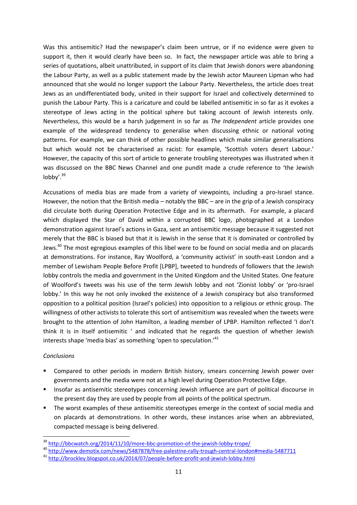Was this antisemitic? Had the newspaper's claim been untrue, or if no evidence were given to support it, then it would clearly have been so. In fact, the newspaper article was able to bring a series of quotations, albeit unattributed, in support of its claim that Jewish donors were abandoning the Labour Party, as well as a public statement made by the Jewish actor Maureen Lipman who had announced that she would no longer support the Labour Party. Nevertheless, the article does treat Jews as an undifferentiated body, united in their support for Israel and collectively determined to punish the Labour Party. This is a caricature and could be labelled antisemitic in so far as it evokes a stereotype of Jews acting in the political sphere but taking account of Jewish interests only. Nevertheless, this would be a harsh judgement in so far as *The Independent* article provides one example of the widespread tendency to generalise when discussing ethnic or national voting patterns. For example, we can think of other possible headlines which make similar generalisations but which would not be characterised as racist: for example, 'Scottish voters desert Labour.' However, the capacity of this sort of article to generate troubling stereotypes was illustrated when it was discussed on the BBC News Channel and one pundit made a crude reference to 'the Jewish  $\mathsf{lobbv}^{\prime}$ .  $^{39}$ 

Accusations of media bias are made from a variety of viewpoints, including a pro-Israel stance. However, the notion that the British media – notably the BBC – are in the grip of a Jewish conspiracy did circulate both during Operation Protective Edge and in its aftermath. For example, a placard which displayed the Star of David within a corrupted BBC logo, photographed at a London demonstration against Israel's actions in Gaza, sent an antisemitic message because it suggested not merely that the BBC is biased but that it is Jewish in the sense that it is dominated or controlled by Jews.<sup>40</sup> The most egregious examples of this libel were to be found on social media and on placards at demonstrations. For instance, Ray Woolford, a 'community activist' in south-east London and a member of Lewisham People Before Profit [LPBP], tweeted to hundreds of followers that the Jewish lobby controls the media and government in the United Kingdom and the United States. One feature of Woolford's tweets was his use of the term Jewish lobby and not 'Zionist lobby' or 'pro-Israel lobby.' In this way he not only invoked the existence of a Jewish conspiracy but also transformed opposition to a political position (Israel's policies) into opposition to a religious or ethnic group. The willingness of other activists to tolerate this sort of antisemitism was revealed when the tweets were brought to the attention of John Hamilton, a leading member of LPBP. Hamilton reflected 'I don't think it is in itself antisemitic ' and indicated that he regards the question of whether Jewish interests shape 'media bias' as something 'open to speculation.'<sup>41</sup>

#### *Conclusions*

- Compared to other periods in modern British history, smears concerning Jewish power over governments and the media were not at a high level during Operation Protective Edge.
- Insofar as antisemitic stereotypes concerning Jewish influence are part of political discourse in the present day they are used by people from all points of the political spectrum.
- The worst examples of these antisemitic stereotypes emerge in the context of social media and on placards at demonstrations. In other words, these instances arise when an abbreviated, compacted message is being delivered.

<sup>&</sup>lt;sup>39</sup> <http://bbcwatch.org/2014/11/10/more-bbc-promotion-of-the-jewish-lobby-trope/>

<sup>40</sup> <http://www.demotix.com/news/5487878/free-palestine-rally-trough-central-london#media-5487711>

<sup>41</sup> <http://brockley.blogspot.co.uk/2014/07/people-before-profit-and-jewish-lobby.html>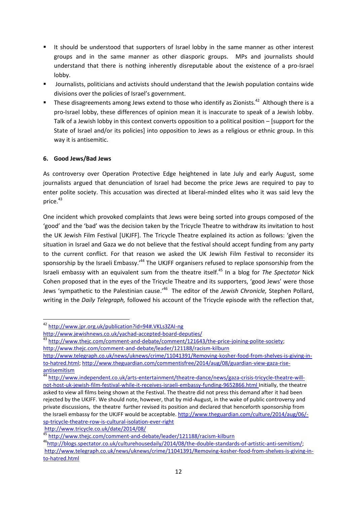- It should be understood that supporters of Israel lobby in the same manner as other interest groups and in the same manner as other diasporic groups. MPs and journalists should understand that there is nothing inherently disreputable about the existence of a pro-Israel lobby.
- Journalists, politicians and activists should understand that the Jewish population contains wide divisions over the policies of Israel's government.
- $\blacksquare$  These disagreements among Jews extend to those who identify as Zionists.<sup>42</sup> Although there is a pro-Israel lobby, these differences of opinion mean it is inaccurate to speak of a Jewish lobby. Talk of a Jewish lobby in this context converts opposition to a political position – [support for the State of Israel and/or its policies] into opposition to Jews as a religious or ethnic group. In this way it is antisemitic.

#### **6. Good Jews/Bad Jews**

 $\overline{a}$ 

As controversy over Operation Protective Edge heightened in late July and early August, some journalists argued that denunciation of Israel had become the price Jews are required to pay to enter polite society. This accusation was directed at liberal-minded elites who it was said levy the price.<sup>43</sup>

One incident which provoked complaints that Jews were being sorted into groups composed of the 'good' and the 'bad' was the decision taken by the Tricycle Theatre to withdraw its invitation to host the UK Jewish Film Festival [UKJFF]. The Tricycle Theatre explained its action as follows: 'given the situation in Israel and Gaza we do not believe that the festival should accept funding from any party to the current conflict. For that reason we asked the UK Jewish Film Festival to reconsider its sponsorship by the Israeli Embassy.<sup>144</sup> The UKJFF organisers refused to replace sponsorship from the Israeli embassy with an equivalent sum from the theatre itself.<sup>45</sup> In a blog for *The Spectator* Nick Cohen proposed that in the eyes of the Tricycle Theatre and its supporters, 'good Jews' were those Jews 'sympathetic to the Palestinian cause.' 46 The editor of the *Jewish Chronicle,* Stephen Pollard, writing in the *Daily Telegraph,* followed his account of the Tricycle episode with the reflection that,

<sup>42</sup> <http://www.jpr.org.uk/publication?id=94#.VKLs3ZAI-ng>

<http://www.jewishnews.co.uk/yachad-accepted-board-deputies/>

<sup>&</sup>lt;sup>43</sup> [http://www.thejc.com/comment-and-debate/comment/121643/the-price-joining-polite-society;](http://www.thejc.com/comment-and-debate/comment/121643/the-price-joining-polite-society) <http://www.thejc.com/comment-and-debate/leader/121188/racism-kilburn>

[http://www.telegraph.co.uk/news/uknews/crime/11041391/Removing-kosher-food-from-shelves-is-giving-in](http://www.telegraph.co.uk/news/uknews/crime/11041391/Removing-kosher-food-from-shelves-is-giving-in-to-hatred.html)[to-hatred.html;](http://www.telegraph.co.uk/news/uknews/crime/11041391/Removing-kosher-food-from-shelves-is-giving-in-to-hatred.html) [http://www.theguardian.com/commentisfree/2014/aug/08/guardian-view-gaza-rise](http://www.theguardian.com/commentisfree/2014/aug/08/guardian-view-gaza-rise-antisemitism)[antisemitism](http://www.theguardian.com/commentisfree/2014/aug/08/guardian-view-gaza-rise-antisemitism)

<sup>&</sup>lt;sup>44</sup> [http://www.independent.co.uk/arts-entertainment/theatre-dance/news/gaza-crisis-tricycle-theatre-will](http://www.independent.co.uk/arts-entertainment/theatre-dance/news/gaza-crisis-tricycle-theatre-will-not-host-uk-jewish-film-festival-while-it-receives-israeli-embassy-funding-9652866.html)[not-host-uk-jewish-film-festival-while-it-receives-israeli-embassy-funding-9652866.html](http://www.independent.co.uk/arts-entertainment/theatre-dance/news/gaza-crisis-tricycle-theatre-will-not-host-uk-jewish-film-festival-while-it-receives-israeli-embassy-funding-9652866.html) Initially, the theatre asked to view all films being shown at the Festival. The theatre did not press this demand after it had been rejected by the UKJFF. We should note, however, that by mid-August, in the wake of public controversy and private discussions, the theatre further revised its position and declared that henceforth sponsorship from the Israeli embassy for the UKJFF would be acceptable. [http://www.theguardian.com/culture/2014/aug/06/](http://www.theguardian.com/culture/2014/aug/06/-sp-tricycle-theatre-row-is-cultural-isolation-ever-right) [sp-tricycle-theatre-row-is-cultural-isolation-ever-right](http://www.theguardian.com/culture/2014/aug/06/-sp-tricycle-theatre-row-is-cultural-isolation-ever-right) <http://www.tricycle.co.uk/date/2014/08/>

<sup>45</sup> <http://www.thejc.com/comment-and-debate/leader/121188/racism-kilburn>

<sup>46</sup>[http://blogs.spectator.co.uk/culturehousedaily/2014/08/the-double-standards-of-artistic-anti-semitism/;](http://blogs.spectator.co.uk/culturehousedaily/2014/08/the-double-standards-of-artistic-anti-semitism/) [http://www.telegraph.co.uk/news/uknews/crime/11041391/Removing-kosher-food-from-shelves-is-giving-in](http://www.telegraph.co.uk/news/uknews/crime/11041391/Removing-kosher-food-from-shelves-is-giving-in-to-hatred.html)[to-hatred.html](http://www.telegraph.co.uk/news/uknews/crime/11041391/Removing-kosher-food-from-shelves-is-giving-in-to-hatred.html)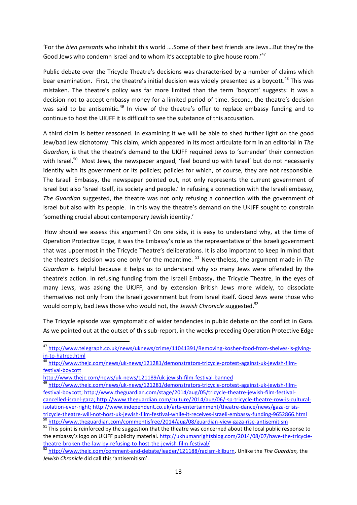'For the *bien pensants* who inhabit this world ….Some of their best friends are Jews…But they're the Good Jews who condemn Israel and to whom it's acceptable to give house room.'<sup>47</sup>

Public debate over the Tricycle Theatre's decisions was characterised by a number of claims which bear examination. First, the theatre's initial decision was widely presented as a boycott.<sup>48</sup> This was mistaken. The theatre's policy was far more limited than the term 'boycott' suggests: it was a decision not to accept embassy money for a limited period of time. Second, the theatre's decision was said to be antisemitic.<sup>49</sup> In view of the theatre's offer to replace embassy funding and to continue to host the UKJFF it is difficult to see the substance of this accusation.

A third claim is better reasoned. In examining it we will be able to shed further light on the good Jew/bad Jew dichotomy. This claim, which appeared in its most articulate form in an editorial in *The Guardian,* is that the theatre's demand to the UKJFF required Jews to 'surrender' their connection with Israel.<sup>50</sup> Most Jews, the newspaper argued, 'feel bound up with Israel' but do not necessarily identify with its government or its policies; policies for which, of course, they are not responsible. The Israeli Embassy, the newspaper pointed out, not only represents the current government of Israel but also 'Israel itself, its society and people.' In refusing a connection with the Israeli embassy, *The Guardian* suggested, the theatre was not only refusing a connection with the government of Israel but also with its people. In this way the theatre's demand on the UKJFF sought to constrain 'something crucial about contemporary Jewish identity.'

How should we assess this argument? On one side, it is easy to understand why, at the time of Operation Protective Edge, it was the Embassy's role as the representative of the Israeli government that was uppermost in the Tricycle Theatre's deliberations. It is also important to keep in mind that the theatre's decision was one only for the meantime. <sup>51</sup> Nevertheless, the argument made in *The Guardian* is helpful because it helps us to understand why so many Jews were offended by the theatre's action. In refusing funding from the Israeli Embassy, the Tricycle Theatre, in the eyes of many Jews, was asking the UKJFF, and by extension British Jews more widely, to dissociate themselves not only from the Israeli government but from Israel itself. Good Jews were those who would comply, bad Jews those who would not, the *Jewish Chronicle* suggested.<sup>52</sup>

The Tricycle episode was symptomatic of wider tendencies in public debate on the conflict in Gaza. As we pointed out at the outset of this sub-report, in the weeks preceding Operation Protective Edge

1

<sup>&</sup>lt;sup>47</sup> [http://www.telegraph.co.uk/news/uknews/crime/11041391/Removing-kosher-food-from-shelves-is-giving](http://www.telegraph.co.uk/news/uknews/crime/11041391/Removing-kosher-food-from-shelves-is-giving-in-to-hatred.html)[in-to-hatred.html](http://www.telegraph.co.uk/news/uknews/crime/11041391/Removing-kosher-food-from-shelves-is-giving-in-to-hatred.html)

<sup>48</sup> [http://www.thejc.com/news/uk-news/121281/demonstrators-tricycle-protest-against-uk-jewish-film](http://www.thejc.com/news/uk-news/121281/demonstrators-tricycle-protest-against-uk-jewish-film-festival-boycott)[festival-boycott](http://www.thejc.com/news/uk-news/121281/demonstrators-tricycle-protest-against-uk-jewish-film-festival-boycott)

<http://www.thejc.com/news/uk-news/121189/uk-jewish-film-festival-banned>

<sup>&</sup>lt;sup>49</sup> [http://www.thejc.com/news/uk-news/121281/demonstrators-tricycle-protest-against-uk-jewish-film](http://www.thejc.com/news/uk-news/121281/demonstrators-tricycle-protest-against-uk-jewish-film-festival-boycott)[festival-boycott;](http://www.thejc.com/news/uk-news/121281/demonstrators-tricycle-protest-against-uk-jewish-film-festival-boycott) [http://www.theguardian.com/stage/2014/aug/05/tricycle-theatre-jewish-film-festival](http://www.theguardian.com/stage/2014/aug/05/tricycle-theatre-jewish-film-festival-cancelled-israel-gaza)[cancelled-israel-gaza;](http://www.theguardian.com/stage/2014/aug/05/tricycle-theatre-jewish-film-festival-cancelled-israel-gaza) [http://www.theguardian.com/culture/2014/aug/06/-sp-tricycle-theatre-row-is-cultural](http://www.theguardian.com/culture/2014/aug/06/-sp-tricycle-theatre-row-is-cultural-isolation-ever-right)[isolation-ever-right;](http://www.theguardian.com/culture/2014/aug/06/-sp-tricycle-theatre-row-is-cultural-isolation-ever-right) http://www.independent.co.uk/arts-entertainment/theatre-dance/news/gaza-crisistricycle-theatre-will-not-host-uk-jewish-film-festival-while-it-receives-israeli-embassy-funding-9652866.html <http://www.theguardian.com/commentisfree/2014/aug/08/guardian-view-gaza-rise-antisemitism>

<sup>&</sup>lt;sup>51</sup> This point is reinforced by the suggestion that the theatre was concerned about the local public response to the embassy's logo on UKJFF publicity material. [http://ukhumanrightsblog.com/2014/08/07/have-the-tricycle](http://ukhumanrightsblog.com/2014/08/07/have-the-tricycle-theatre-broken-the-law-by-refusing-to-host-the-jewish-film-festival/)[theatre-broken-the-law-by-refusing-to-host-the-jewish-film-festival/](http://ukhumanrightsblog.com/2014/08/07/have-the-tricycle-theatre-broken-the-law-by-refusing-to-host-the-jewish-film-festival/) 

<sup>52</sup> [http://www.thejc.com/comment-and-debate/leader/121188/racism-kilburn.](http://www.thejc.com/comment-and-debate/leader/121188/racism-kilburn) Unlike the *The Guardian,* the *Jewish Chronicle* did call this 'antisemitism'.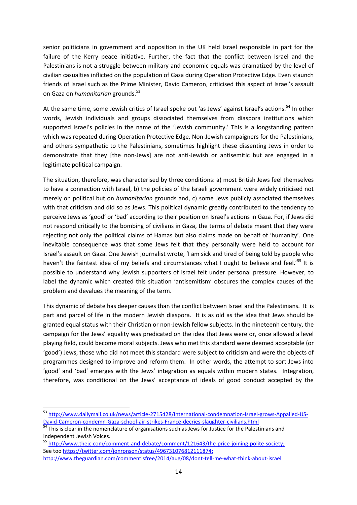senior politicians in government and opposition in the UK held Israel responsible in part for the failure of the Kerry peace initiative. Further, the fact that the conflict between Israel and the Palestinians is not a struggle between military and economic equals was dramatized by the level of civilian casualties inflicted on the population of Gaza during Operation Protective Edge. Even staunch friends of Israel such as the Prime Minister, David Cameron, criticised this aspect of Israel's assault on Gaza on *humanitarian* grounds.<sup>53</sup>

At the same time, some Jewish critics of Israel spoke out 'as Jews' against Israel's actions.<sup>54</sup> In other words, Jewish individuals and groups dissociated themselves from diaspora institutions which supported Israel's policies in the name of the 'Jewish community.' This is a longstanding pattern which was repeated during Operation Protective Edge. Non-Jewish campaigners for the Palestinians, and others sympathetic to the Palestinians, sometimes highlight these dissenting Jews in order to demonstrate that they [the non-Jews] are not anti-Jewish or antisemitic but are engaged in a legitimate political campaign.

The situation, therefore, was characterised by three conditions: a) most British Jews feel themselves to have a connection with Israel, b) the policies of the Israeli government were widely criticised not merely on political but on *humanitarian* grounds and, c) some Jews publicly associated themselves with that criticism and did so as Jews. This political dynamic greatly contributed to the tendency to perceive Jews as 'good' or 'bad' according to their position on Israel's actions in Gaza. For, if Jews did not respond critically to the bombing of civilians in Gaza, the terms of debate meant that they were rejecting not only the political claims of Hamas but also claims made on behalf of 'humanity'. One inevitable consequence was that some Jews felt that they personally were held to account for Israel's assault on Gaza. One Jewish journalist wrote, 'I am sick and tired of being told by people who haven't the faintest idea of my beliefs and circumstances what I ought to believe and feel.'<sup>55</sup> It is possible to understand why Jewish supporters of Israel felt under personal pressure. However, to label the dynamic which created this situation 'antisemitism' obscures the complex causes of the problem and devalues the meaning of the term.

This dynamic of debate has deeper causes than the conflict between Israel and the Palestinians. It is part and parcel of life in the modern Jewish diaspora. It is as old as the idea that Jews should be granted equal status with their Christian or non-Jewish fellow subjects. In the nineteenh century, the campaign for the Jews' equality was predicated on the idea that Jews were or, once allowed a level playing field, could become moral subjects. Jews who met this standard were deemed acceptable (or 'good') Jews, those who did not meet this standard were subject to criticism and were the objects of programmes designed to improve and reform them. In other words, the attempt to sort Jews into 'good' and 'bad' emerges with the Jews' integration as equals within modern states. Integration, therefore, was conditional on the Jews' acceptance of ideals of good conduct accepted by the

 $\overline{a}$ 

<sup>&</sup>lt;sup>53</sup> [http://www.dailymail.co.uk/news/article-2715428/International-condemnation-Israel-grows-Appalled-US-](http://www.dailymail.co.uk/news/article-2715428/International-condemnation-Israel-grows-Appalled-US-David-Cameron-condemn-Gaza-school-air-strikes-France-decries-slaughter-civilians.html)[David-Cameron-condemn-Gaza-school-air-strikes-France-decries-slaughter-civilians.html](http://www.dailymail.co.uk/news/article-2715428/International-condemnation-Israel-grows-Appalled-US-David-Cameron-condemn-Gaza-school-air-strikes-France-decries-slaughter-civilians.html)

<sup>&</sup>lt;sup>54</sup> This is clear in the nomenclature of organisations such as Jews for Justice for the Palestinians and Independent Jewish Voices.

<sup>55</sup> [http://www.thejc.com/comment-and-debate/comment/121643/the-price-joining-polite-society;](http://www.thejc.com/comment-and-debate/comment/121643/the-price-joining-polite-society) See too [https://twitter.com/jonronson/status/496731076812111874;](https://twitter.com/jonronson/status/496731076812111874) <http://www.theguardian.com/commentisfree/2014/aug/08/dont-tell-me-what-think-about-israel>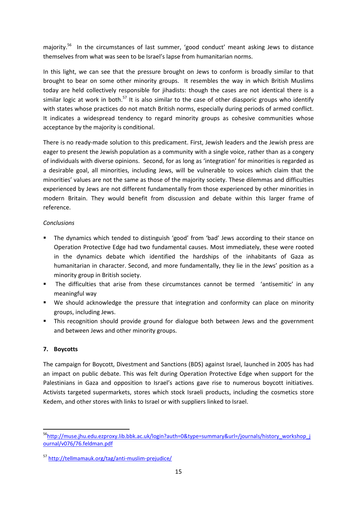majority.<sup>56</sup> In the circumstances of last summer, 'good conduct' meant asking Jews to distance themselves from what was seen to be Israel's lapse from humanitarian norms.

In this light, we can see that the pressure brought on Jews to conform is broadly similar to that brought to bear on some other minority groups. It resembles the way in which British Muslims today are held collectively responsible for jihadists: though the cases are not identical there is a similar logic at work in both.<sup>57</sup> It is also similar to the case of other diasporic groups who identify with states whose practices do not match British norms, especially during periods of armed conflict. It indicates a widespread tendency to regard minority groups as cohesive communities whose acceptance by the majority is conditional.

There is no ready-made solution to this predicament. First, Jewish leaders and the Jewish press are eager to present the Jewish population as a community with a single voice, rather than as a congery of individuals with diverse opinions. Second, for as long as 'integration' for minorities is regarded as a desirable goal, all minorities, including Jews, will be vulnerable to voices which claim that the minorities' values are not the same as those of the majority society. These dilemmas and difficulties experienced by Jews are not different fundamentally from those experienced by other minorities in modern Britain. They would benefit from discussion and debate within this larger frame of reference.

#### *Conclusions*

- The dynamics which tended to distinguish 'good' from 'bad' Jews according to their stance on Operation Protective Edge had two fundamental causes. Most immediately, these were rooted in the dynamics debate which identified the hardships of the inhabitants of Gaza as humanitarian in character. Second, and more fundamentally, they lie in the Jews' position as a minority group in British society.
- The difficulties that arise from these circumstances cannot be termed 'antisemitic' in any meaningful way
- We should acknowledge the pressure that integration and conformity can place on minority groups, including Jews.
- This recognition should provide ground for dialogue both between Jews and the government and between Jews and other minority groups.

#### **7. Boycotts**

**.** 

The campaign for Boycott, Divestment and Sanctions (BDS) against Israel, launched in 2005 has had an impact on public debate. This was felt during Operation Protective Edge when support for the Palestinians in Gaza and opposition to Israel's actions gave rise to numerous boycott initiatives. Activists targeted supermarkets, stores which stock Israeli products, including the cosmetics store Kedem, and other stores with links to Israel or with suppliers linked to Israel.

<sup>56</sup>[http://muse.jhu.edu.ezproxy.lib.bbk.ac.uk/login?auth=0&type=summary&url=/journals/history\\_workshop\\_j](http://muse.jhu.edu.ezproxy.lib.bbk.ac.uk/login?auth=0&type=summary&url=/journals/history_workshop_journal/v076/76.feldman.pdf) [ournal/v076/76.feldman.pdf](http://muse.jhu.edu.ezproxy.lib.bbk.ac.uk/login?auth=0&type=summary&url=/journals/history_workshop_journal/v076/76.feldman.pdf)

<sup>57</sup> <http://tellmamauk.org/tag/anti-muslim-prejudice/>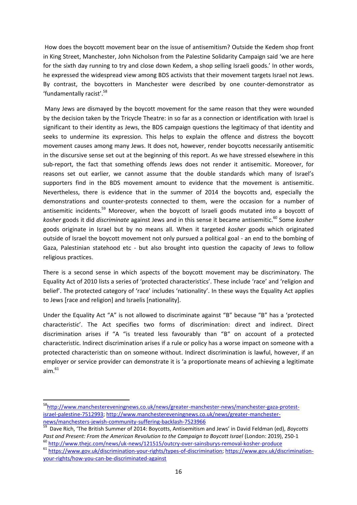How does the boycott movement bear on the issue of antisemitism? Outside the Kedem shop front in King Street, Manchester, John Nicholson from the Palestine Solidarity Campaign said 'we are here for the sixth day running to try and close down Kedem, a shop selling Israeli goods.' In other words, he expressed the widespread view among BDS activists that their movement targets Israel not Jews. By contrast, the boycotters in Manchester were described by one counter-demonstrator as 'fundamentally racist'. 58

Many Jews are dismayed by the boycott movement for the same reason that they were wounded by the decision taken by the Tricycle Theatre: in so far as a connection or identification with Israel is significant to their identity as Jews, the BDS campaign questions the legitimacy of that identity and seeks to undermine its expression. This helps to explain the offence and distress the boycott movement causes among many Jews. It does not, however, render boycotts necessarily antisemitic in the discursive sense set out at the beginning of this report. As we have stressed elsewhere in this sub-report, the fact that something offends Jews does not render it antisemitic. Moreover, for reasons set out earlier, we cannot assume that the double standards which many of Israel's supporters find in the BDS movement amount to evidence that the movement is antisemitic. Nevertheless, there is evidence that in the summer of 2014 the boycotts and, especially the demonstrations and counter-protests connected to them, were the occasion for a number of antisemitic incidents.<sup>59</sup> Moreover, when the boycott of Israeli goods mutated into a boycott of *kosher* goods it did *discriminate* against Jews and in this sense it became antisemitic.<sup>60</sup> Some *kosher* goods originate in Israel but by no means all. When it targeted *kosher* goods which originated outside of Israel the boycott movement not only pursued a political goal - an end to the bombing of Gaza, Palestinian statehood etc - but also brought into question the capacity of Jews to follow religious practices.

There is a second sense in which aspects of the boycott movement may be discriminatory. The Equality Act of 2010 lists a series of 'protected characteristics'. These include 'race' and 'religion and belief'. The protected category of 'race' includes 'nationality'. In these ways the Equality Act applies to Jews [race and religion] and Israelis [nationality].

Under the Equality Act "A" is not allowed to discriminate against "B" because "B" has a 'protected characteristic'. The Act specifies two forms of discrimination: direct and indirect. Direct discrimination arises if "A "is treated less favourably than "B" on account of a protected characteristic. Indirect discrimination arises if a rule or policy has a worse impact on someone with a protected characteristic than on someone without. Indirect discrimination is lawful, however, if an employer or service provider can demonstrate it is 'a proportionate means of achieving a legitimate  $aim.<sup>61</sup>$ 

<sup>58</sup>[http://www.manchestereveningnews.co.uk/news/greater-manchester-news/manchester-gaza-protest](http://www.manchestereveningnews.co.uk/news/greater-manchester-news/manchester-gaza-protest-israel-palestine-7512993)[israel-palestine-7512993;](http://www.manchestereveningnews.co.uk/news/greater-manchester-news/manchester-gaza-protest-israel-palestine-7512993) [http://www.manchestereveningnews.co.uk/news/greater-manchester-](http://www.manchestereveningnews.co.uk/news/greater-manchester-news/manchesters-jewish-community-suffering-backlash-7523966)

[news/manchesters-jewish-community-suffering-backlash-7523966](http://www.manchestereveningnews.co.uk/news/greater-manchester-news/manchesters-jewish-community-suffering-backlash-7523966) 59 Dave Rich, 'The British Summer of 2014: Boycotts, Antisemitism and Jews' in David Feldman (ed), *Boycotts Past and Present: From the American Revolution to the Campaign to Boycott Israel* (London: 2019), 250-1

<sup>&</sup>lt;sup>60</sup> <http://www.thejc.com/news/uk-news/121515/outcry-over-sainsburys-removal-kosher-produce>

<sup>61</sup> [https://www.gov.uk/discrimination-your-rights/types-of-discrimination;](https://www.gov.uk/discrimination-your-rights/types-of-discrimination) [https://www.gov.uk/discrimination](https://www.gov.uk/discrimination-your-rights/how-you-can-be-discriminated-against)[your-rights/how-you-can-be-discriminated-against](https://www.gov.uk/discrimination-your-rights/how-you-can-be-discriminated-against)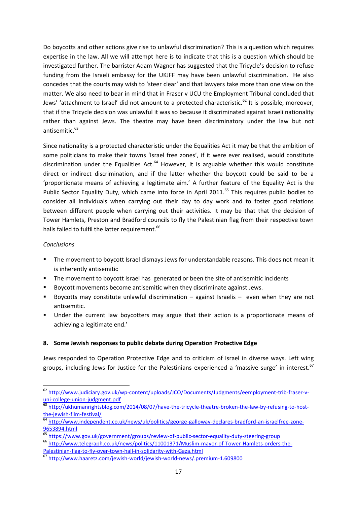Do boycotts and other actions give rise to unlawful discrimination? This is a question which requires expertise in the law. All we will attempt here is to indicate that this is a question which should be investigated further. The barrister Adam Wagner has suggested that the Tricycle's decision to refuse funding from the Israeli embassy for the UKJFF may have been unlawful discrimination. He also concedes that the courts may wish to 'steer clear' and that lawyers take more than one view on the matter. We also need to bear in mind that in Fraser v UCU the Employment Tribunal concluded that Jews' 'attachment to Israel' did not amount to a protected characteristic.<sup>62</sup> It is possible, moreover, that if the Tricycle decision was unlawful it was so because it discriminated against Israeli nationality rather than against Jews. The theatre may have been discriminatory under the law but not antisemitic.<sup>63</sup>

Since nationality is a protected characteristic under the Equalities Act it may be that the ambition of some politicians to make their towns 'Israel free zones', if it were ever realised, would constitute discrimination under the Equalities Act. $64$  However, it is arguable whether this would constitute direct or indirect discrimination, and if the latter whether the boycott could be said to be a 'proportionate means of achieving a legitimate aim.' A further feature of the Equality Act is the Public Sector Equality Duty, which came into force in April 2011.<sup>65</sup> This requires public bodies to consider all individuals when carrying out their day to day work and to foster good relations between different people when carrying out their activities. It may be that that the decision of Tower Hamlets, Preston and Bradford councils to fly the Palestinian flag from their respective town halls failed to fulfil the latter requirement.<sup>66</sup>

#### *Conclusions*

**.** 

- The movement to boycott Israel dismays Jews for understandable reasons. This does not mean it is inherently antisemitic
- **The movement to boycott Israel has generated or been the site of antisemitic incidents**
- **Boycott movements become antisemitic when they discriminate against Jews.**
- Boycotts may constitute unlawful discrimination against Israelis even when they are not antisemitic.
- Under the current law boycotters may argue that their action is a proportionate means of achieving a legitimate end.'

#### **8. Some Jewish responses to public debate during Operation Protective Edge**

Jews responded to Operation Protective Edge and to criticism of Israel in diverse ways. Left wing groups, including Jews for Justice for the Palestinians experienced a 'massive surge' in interest.<sup>67</sup>

<sup>&</sup>lt;sup>62</sup> [http://www.judiciary.gov.uk/wp-content/uploads/JCO/Documents/Judgments/eemployment-trib-fraser-v](http://www.judiciary.gov.uk/wp-content/uploads/JCO/Documents/Judgments/eemployment-trib-fraser-v-uni-college-union-judgment.pdf)[uni-college-union-judgment.pdf](http://www.judiciary.gov.uk/wp-content/uploads/JCO/Documents/Judgments/eemployment-trib-fraser-v-uni-college-union-judgment.pdf)

<sup>63</sup> [http://ukhumanrightsblog.com/2014/08/07/have-the-tricycle-theatre-broken-the-law-by-refusing-to-host](http://ukhumanrightsblog.com/2014/08/07/have-the-tricycle-theatre-broken-the-law-by-refusing-to-host-the-jewish-film-festival/)[the-jewish-film-festival/](http://ukhumanrightsblog.com/2014/08/07/have-the-tricycle-theatre-broken-the-law-by-refusing-to-host-the-jewish-film-festival/)

<sup>&</sup>lt;sup>64</sup> [http://www.independent.co.uk/news/uk/politics/george-galloway-declares-bradford-an-israelfree-zone-](http://www.independent.co.uk/news/uk/politics/george-galloway-declares-bradford-an-israelfree-zone-9653894.html)[9653894.html](http://www.independent.co.uk/news/uk/politics/george-galloway-declares-bradford-an-israelfree-zone-9653894.html)

<sup>65</sup> <https://www.gov.uk/government/groups/review-of-public-sector-equality-duty-steering-group>

<sup>66</sup> [http://www.telegraph.co.uk/news/politics/11001371/Muslim-mayor-of-Tower-Hamlets-orders-the-](http://www.telegraph.co.uk/news/politics/11001371/Muslim-mayor-of-Tower-Hamlets-orders-the-Palestinian-flag-to-fly-over-town-hall-in-solidarity-with-Gaza.html)[Palestinian-flag-to-fly-over-town-hall-in-solidarity-with-Gaza.html](http://www.telegraph.co.uk/news/politics/11001371/Muslim-mayor-of-Tower-Hamlets-orders-the-Palestinian-flag-to-fly-over-town-hall-in-solidarity-with-Gaza.html)

<sup>67</sup> <http://www.haaretz.com/jewish-world/jewish-world-news/.premium-1.609800>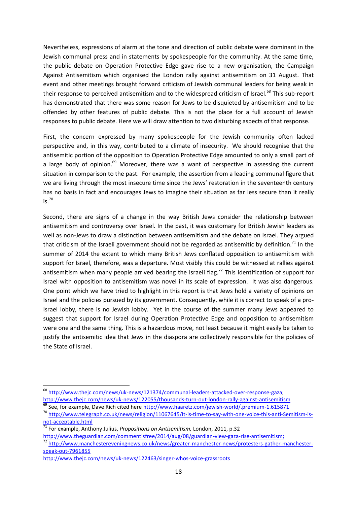Nevertheless, expressions of alarm at the tone and direction of public debate were dominant in the Jewish communal press and in statements by spokespeople for the community. At the same time, the public debate on Operation Protective Edge gave rise to a new organisation, the Campaign Against Antisemitism which organised the London rally against antisemitism on 31 August. That event and other meetings brought forward criticism of Jewish communal leaders for being weak in their response to perceived antisemitism and to the widespread criticism of Israel.<sup>68</sup> This sub-report has demonstrated that there was some reason for Jews to be disquieted by antisemitism and to be offended by other features of public debate. This is not the place for a full account of Jewish responses to public debate. Here we will draw attention to two disturbing aspects of that response.

First, the concern expressed by many spokespeople for the Jewish community often lacked perspective and, in this way, contributed to a climate of insecurity. We should recognise that the antisemitic portion of the opposition to Operation Protective Edge amounted to only a small part of a large body of opinion.<sup>69</sup> Moreover, there was a want of perspective in assessing the current situation in comparison to the past. For example, the assertion from a leading communal figure that we are living through the most insecure time since the Jews' restoration in the seventeenth century has no basis in fact and encourages Jews to imagine their situation as far less secure than it really  $i$ s.  $70$ 

Second, there are signs of a change in the way British Jews consider the relationship between antisemitism and controversy over Israel. In the past, it was customary for British Jewish leaders as well as non-Jews to draw a distinction between antisemitism and the debate on Israel. They argued that criticism of the Israeli government should not be regarded as antisemitic by definition.<sup>71</sup> In the summer of 2014 the extent to which many British Jews conflated opposition to antisemitism with support for Israel, therefore, was a departure. Most visibly this could be witnessed at rallies against antisemitism when many people arrived bearing the Israeli flag.<sup>72</sup> This identification of support for Israel with opposition to antisemitism was novel in its scale of expression. It was also dangerous. One point which we have tried to highlight in this report is that Jews hold a variety of opinions on Israel and the policies pursued by its government. Consequently, while it is correct to speak of a pro-Israel lobby, there is no Jewish lobby. Yet in the course of the summer many Jews appeared to suggest that support for Israel during Operation Protective Edge and opposition to antisemitism were one and the same thing. This is a hazardous move, not least because it might easily be taken to justify the antisemitic idea that Jews in the diaspora are collectively responsible for the policies of the State of Israel.

<sup>&</sup>lt;sup>68</sup>[http://www.thejc.com/news/uk-news/121374/communal-leaders-attacked-over-response-gaza;](http://www.thejc.com/news/uk-news/121374/communal-leaders-attacked-over-response-gaza)

<http://www.thejc.com/news/uk-news/122055/thousands-turn-out-london-rally-against-antisemitism> <sup>69</sup> See, for example, Dave Rich cited here<http://www.haaretz.com/jewish-world/.premium-1.615871>

<sup>70</sup> [http://www.telegraph.co.uk/news/religion/11067645/It-is-time-to-say-with-one-voice-this-anti-Semitism-is](http://www.telegraph.co.uk/news/religion/11067645/It-is-time-to-say-with-one-voice-this-anti-Semitism-is-not-acceptable.html)[not-acceptable.html](http://www.telegraph.co.uk/news/religion/11067645/It-is-time-to-say-with-one-voice-this-anti-Semitism-is-not-acceptable.html)

<sup>71</sup> For example, Anthony Julius, *Propositions on Antisemitism,* London, 2011, p.32

[http://www.theguardian.com/commentisfree/2014/aug/08/guardian-view-gaza-rise-antisemitism;](http://www.theguardian.com/commentisfree/2014/aug/08/guardian-view-gaza-rise-antisemitism)

<sup>72</sup> [http://www.manchestereveningnews.co.uk/news/greater-manchester-news/protesters-gather-manchester](http://www.manchestereveningnews.co.uk/news/greater-manchester-news/protesters-gather-manchester-speak-out-7961855)[speak-out-7961855](http://www.manchestereveningnews.co.uk/news/greater-manchester-news/protesters-gather-manchester-speak-out-7961855)

<http://www.thejc.com/news/uk-news/122463/singer-whos-voice-grassroots>